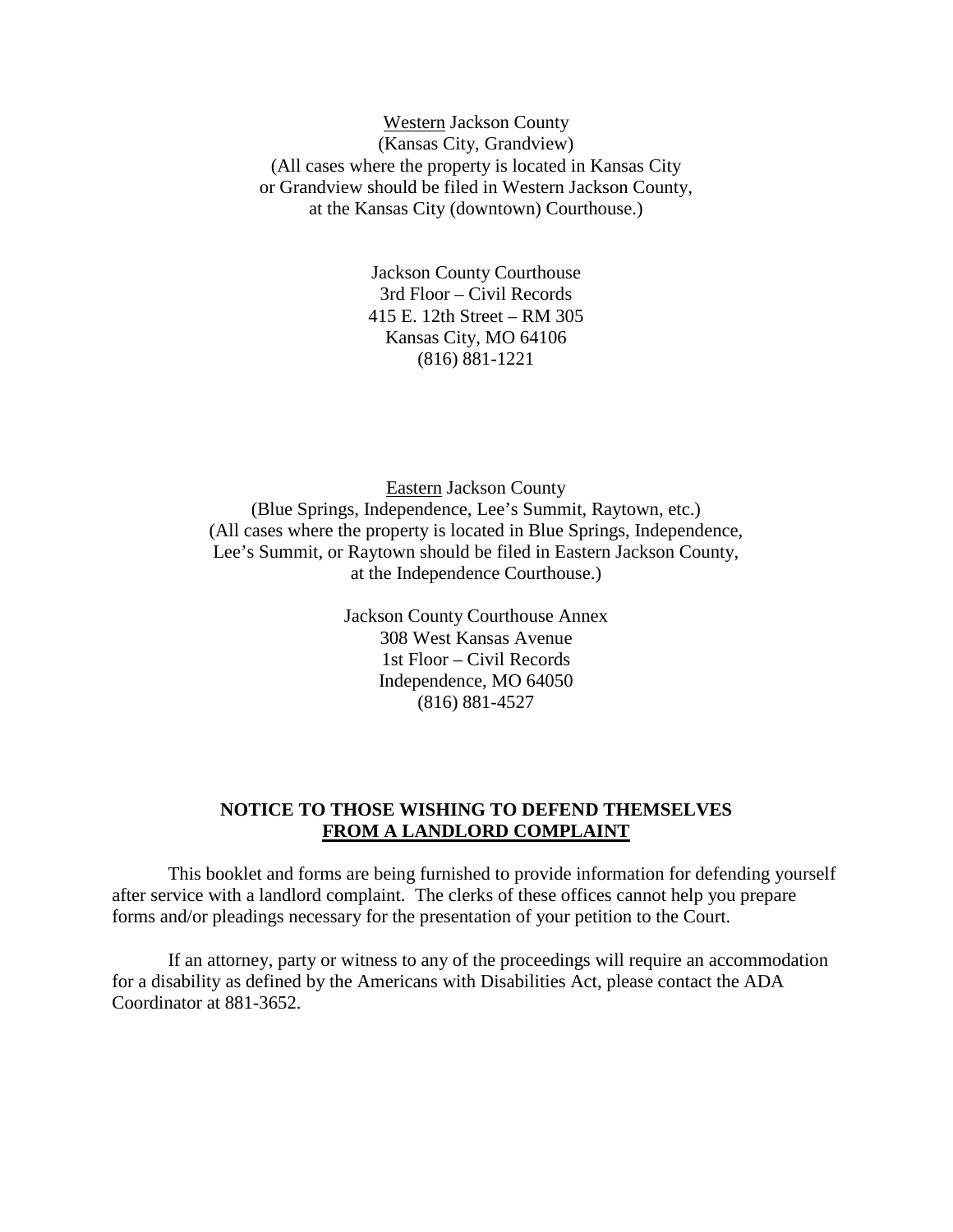Western Jackson County (Kansas City, Grandview) (All cases where the property is located in Kansas City or Grandview should be filed in Western Jackson County, at the Kansas City (downtown) Courthouse.)

> Jackson County Courthouse 3rd Floor – Civil Records 415 E. 12th Street – RM 305 Kansas City, MO 64106 (816) 881-1221

Eastern Jackson County (Blue Springs, Independence, Lee's Summit, Raytown, etc.) (All cases where the property is located in Blue Springs, Independence, Lee's Summit, or Raytown should be filed in Eastern Jackson County, at the Independence Courthouse.)

> Jackson County Courthouse Annex 308 West Kansas Avenue 1st Floor – Civil Records Independence, MO 64050 (816) 881-4527

# **NOTICE TO THOSE WISHING TO DEFEND THEMSELVES FROM A LANDLORD COMPLAINT**

This booklet and forms are being furnished to provide information for defending yourself after service with a landlord complaint. The clerks of these offices cannot help you prepare forms and/or pleadings necessary for the presentation of your petition to the Court.

If an attorney, party or witness to any of the proceedings will require an accommodation for a disability as defined by the Americans with Disabilities Act, please contact the ADA Coordinator at 881-3652.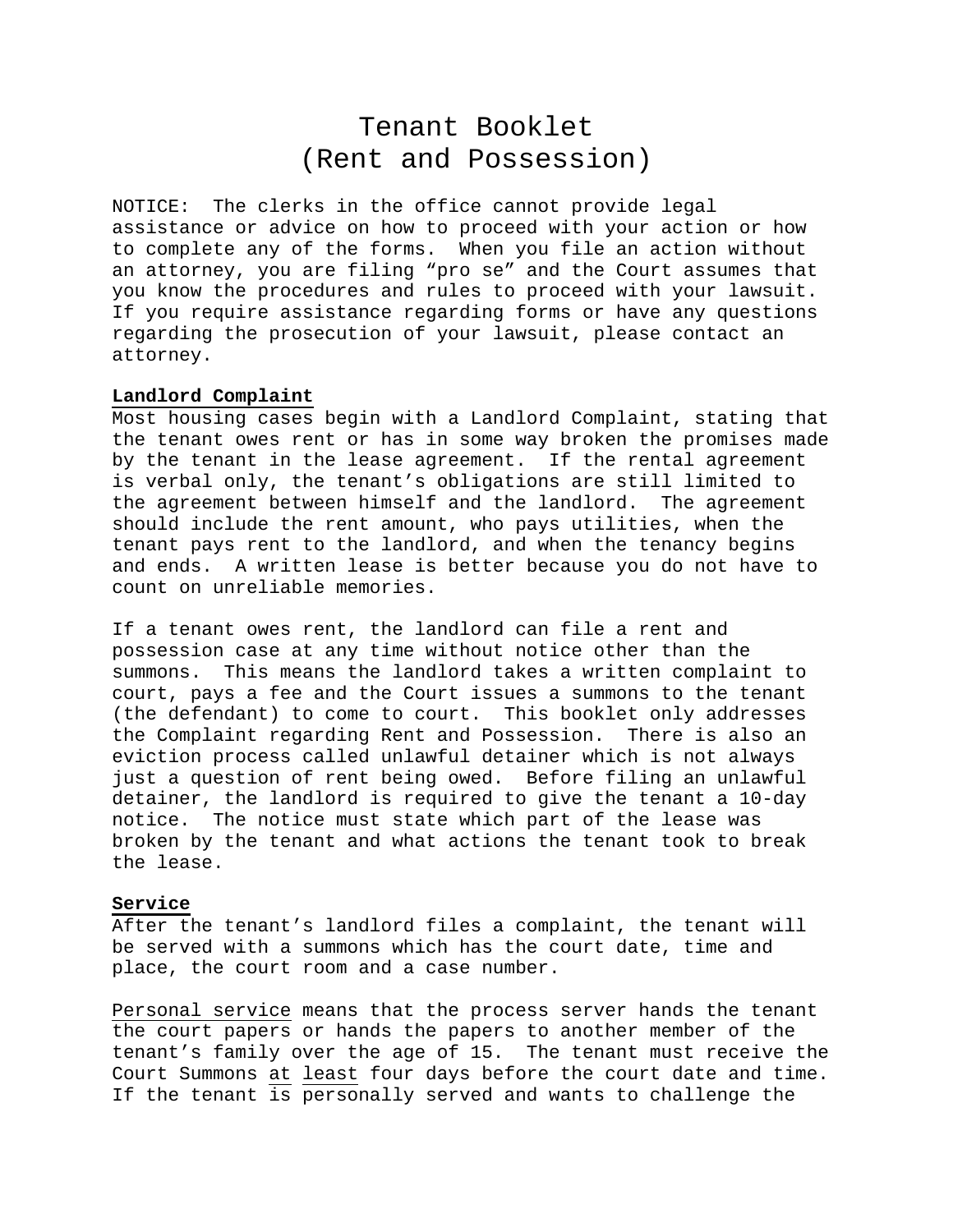# Tenant Booklet (Rent and Possession)

NOTICE: The clerks in the office cannot provide legal assistance or advice on how to proceed with your action or how to complete any of the forms. When you file an action without an attorney, you are filing "pro se" and the Court assumes that you know the procedures and rules to proceed with your lawsuit. If you require assistance regarding forms or have any questions regarding the prosecution of your lawsuit, please contact an attorney.

### **Landlord Complaint**

Most housing cases begin with a Landlord Complaint, stating that the tenant owes rent or has in some way broken the promises made by the tenant in the lease agreement. If the rental agreement is verbal only, the tenant's obligations are still limited to the agreement between himself and the landlord. The agreement should include the rent amount, who pays utilities, when the tenant pays rent to the landlord, and when the tenancy begins and ends. A written lease is better because you do not have to count on unreliable memories.

If a tenant owes rent, the landlord can file a rent and possession case at any time without notice other than the summons. This means the landlord takes a written complaint to court, pays a fee and the Court issues a summons to the tenant (the defendant) to come to court. This booklet only addresses the Complaint regarding Rent and Possession. There is also an eviction process called unlawful detainer which is not always just a question of rent being owed. Before filing an unlawful detainer, the landlord is required to give the tenant a 10-day notice. The notice must state which part of the lease was broken by the tenant and what actions the tenant took to break the lease.

#### **Service**

After the tenant's landlord files a complaint, the tenant will be served with a summons which has the court date, time and place, the court room and a case number.

Personal service means that the process server hands the tenant the court papers or hands the papers to another member of the tenant's family over the age of 15. The tenant must receive the Court Summons at least four days before the court date and time. If the tenant is personally served and wants to challenge the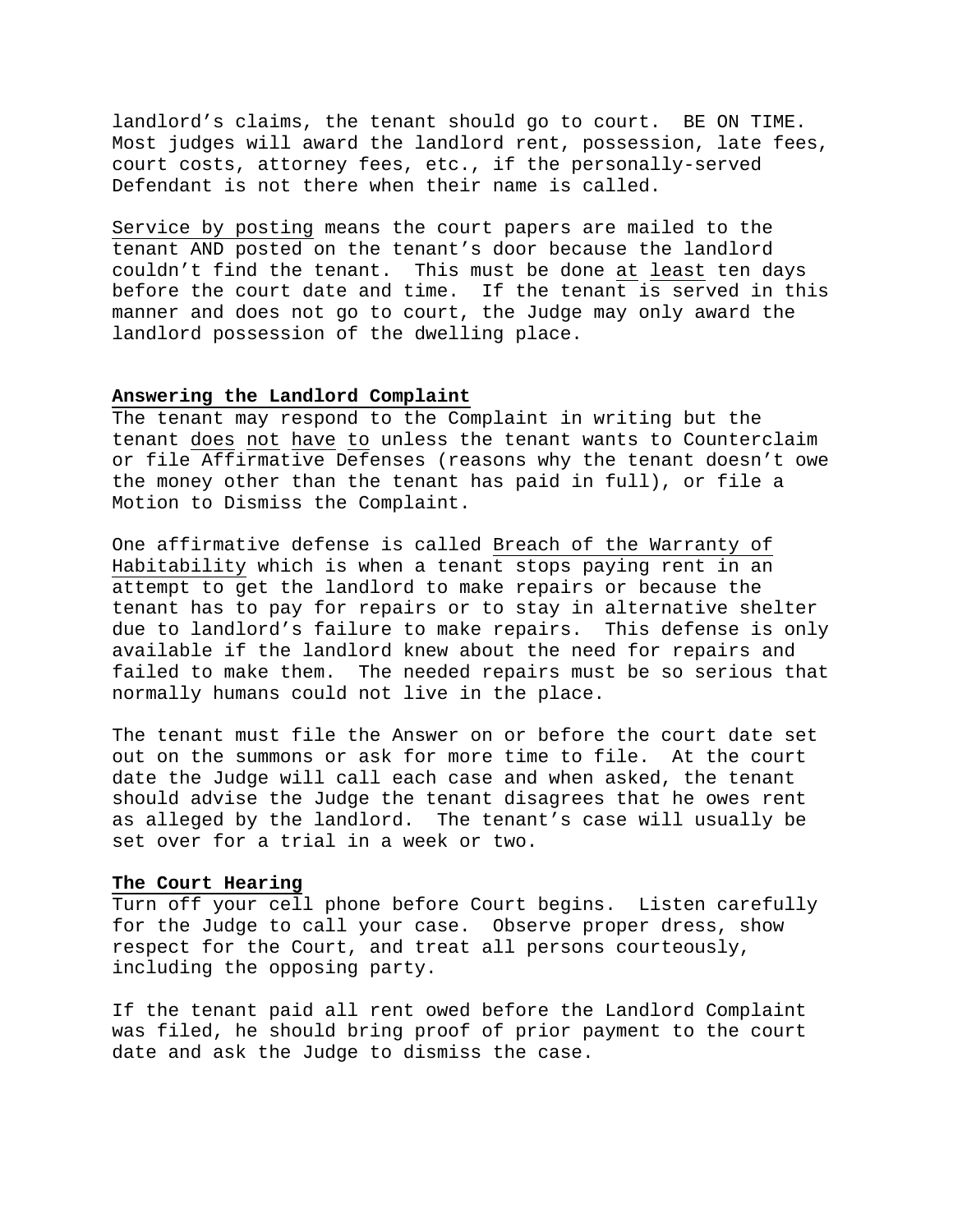landlord's claims, the tenant should go to court. BE ON TIME. Most judges will award the landlord rent, possession, late fees, court costs, attorney fees, etc., if the personally-served Defendant is not there when their name is called.

Service by posting means the court papers are mailed to the tenant AND posted on the tenant's door because the landlord couldn't find the tenant. This must be done at least ten days before the court date and time. If the tenant is served in this manner and does not go to court, the Judge may only award the landlord possession of the dwelling place.

#### **Answering the Landlord Complaint**

The tenant may respond to the Complaint in writing but the tenant does not have to unless the tenant wants to Counterclaim or file Affirmative Defenses (reasons why the tenant doesn't owe the money other than the tenant has paid in full), or file a Motion to Dismiss the Complaint.

One affirmative defense is called Breach of the Warranty of Habitability which is when a tenant stops paying rent in an attempt to get the landlord to make repairs or because the tenant has to pay for repairs or to stay in alternative shelter due to landlord's failure to make repairs. This defense is only available if the landlord knew about the need for repairs and failed to make them. The needed repairs must be so serious that normally humans could not live in the place.

The tenant must file the Answer on or before the court date set out on the summons or ask for more time to file. At the court date the Judge will call each case and when asked, the tenant should advise the Judge the tenant disagrees that he owes rent as alleged by the landlord. The tenant's case will usually be set over for a trial in a week or two.

## **The Court Hearing**

Turn off your cell phone before Court begins. Listen carefully for the Judge to call your case. Observe proper dress, show respect for the Court, and treat all persons courteously, including the opposing party.

If the tenant paid all rent owed before the Landlord Complaint was filed, he should bring proof of prior payment to the court date and ask the Judge to dismiss the case.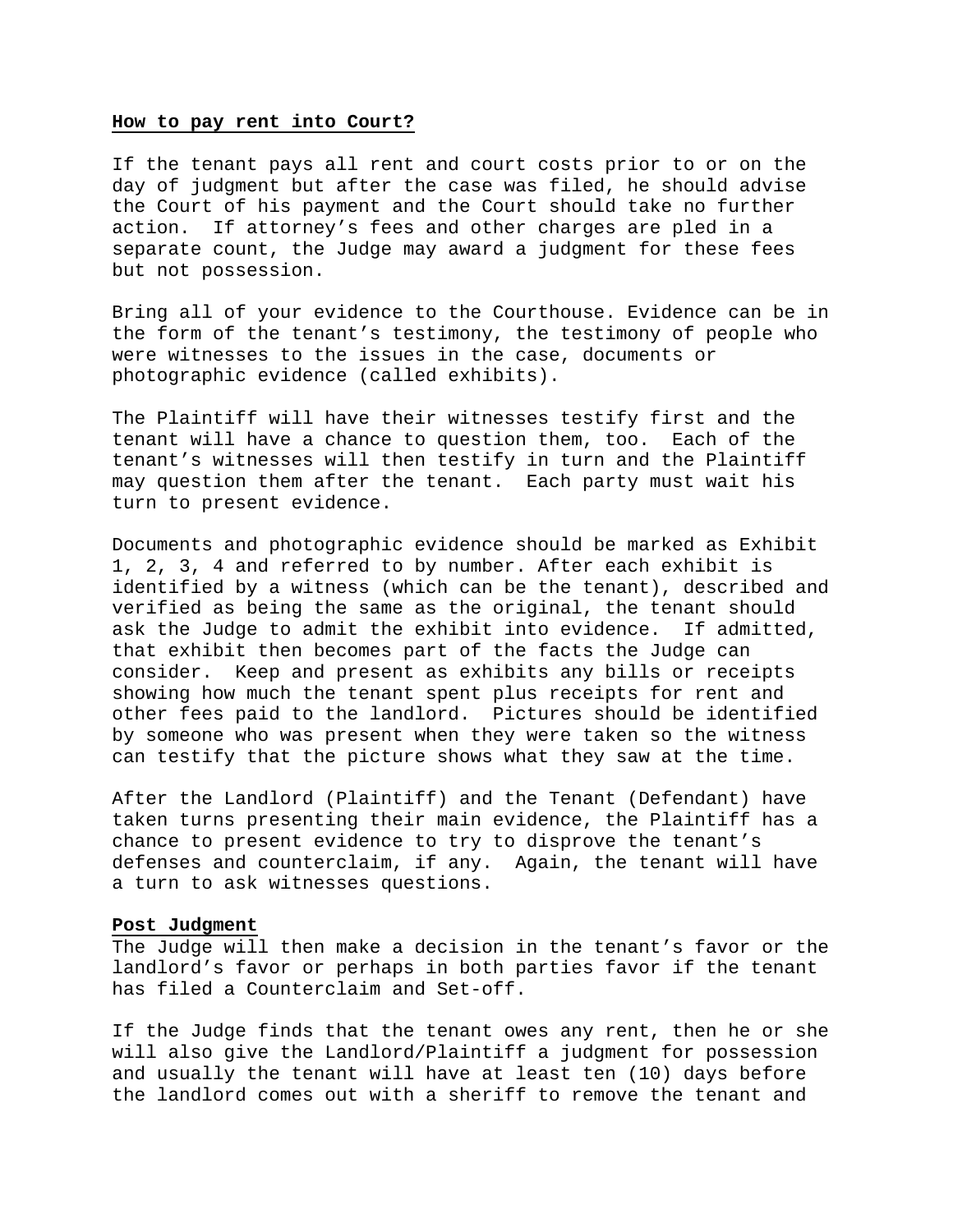#### **How to pay rent into Court?**

If the tenant pays all rent and court costs prior to or on the day of judgment but after the case was filed, he should advise the Court of his payment and the Court should take no further action. If attorney's fees and other charges are pled in a separate count, the Judge may award a judgment for these fees but not possession.

Bring all of your evidence to the Courthouse. Evidence can be in the form of the tenant's testimony, the testimony of people who were witnesses to the issues in the case, documents or photographic evidence (called exhibits).

The Plaintiff will have their witnesses testify first and the tenant will have a chance to question them, too. Each of the tenant's witnesses will then testify in turn and the Plaintiff may question them after the tenant. Each party must wait his turn to present evidence.

Documents and photographic evidence should be marked as Exhibit 1, 2, 3, 4 and referred to by number. After each exhibit is identified by a witness (which can be the tenant), described and verified as being the same as the original, the tenant should ask the Judge to admit the exhibit into evidence. If admitted, that exhibit then becomes part of the facts the Judge can consider. Keep and present as exhibits any bills or receipts showing how much the tenant spent plus receipts for rent and other fees paid to the landlord. Pictures should be identified by someone who was present when they were taken so the witness can testify that the picture shows what they saw at the time.

After the Landlord (Plaintiff) and the Tenant (Defendant) have taken turns presenting their main evidence, the Plaintiff has a chance to present evidence to try to disprove the tenant's defenses and counterclaim, if any. Again, the tenant will have a turn to ask witnesses questions.

# **Post Judgment**

The Judge will then make a decision in the tenant's favor or the landlord's favor or perhaps in both parties favor if the tenant has filed a Counterclaim and Set-off.

If the Judge finds that the tenant owes any rent, then he or she will also give the Landlord/Plaintiff a judgment for possession and usually the tenant will have at least ten (10) days before the landlord comes out with a sheriff to remove the tenant and